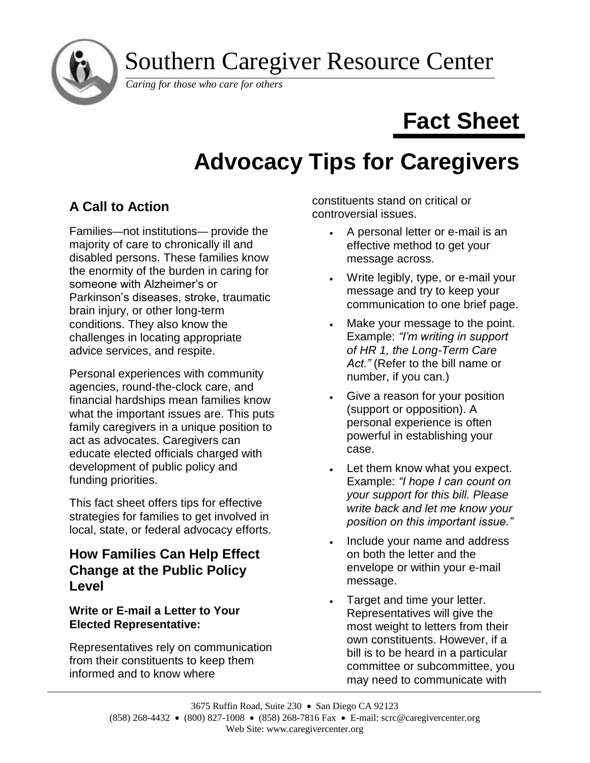Southern Caregiver Resource Center



*Caring for those who care for others*

# **Fact Sheet**

# **Advocacy Tips for Caregivers**

# **A Call to Action**

Families—not institutions— provide the majority of care to chronically ill and disabled persons. These families know the enormity of the burden in caring for someone with Alzheimer's or Parkinson's diseases, stroke, traumatic brain injury, or other long-term conditions. They also know the challenges in locating appropriate advice services, and respite.

Personal experiences with community agencies, round-the-clock care, and financial hardships mean families know what the important issues are. This puts family caregivers in a unique position to act as advocates. Caregivers can educate elected officials charged with development of public policy and funding priorities.

This fact sheet offers tips for effective strategies for families to get involved in local, state, or federal advocacy efforts.

# **How Families Can Help Effect Change at the Public Policy Level**

### **Write or E-mail a Letter to Your Elected Representative:**

Representatives rely on communication from their constituents to keep them informed and to know where

constituents stand on critical or controversial issues.

- A personal letter or e-mail is an effective method to get your message across.
- Write legibly, type, or e-mail your message and try to keep your communication to one brief page.
- Make your message to the point. Example: *"I'm writing in support of HR 1, the Long-Term Care Act."* (Refer to the bill name or number, if you can.)
- Give a reason for your position (support or opposition). A personal experience is often powerful in establishing your case.
- Let them know what you expect. Example: *"I hope I can count on your support for this bill. Please write back and let me know your position on this important issue."*
- Include your name and address on both the letter and the envelope or within your e-mail message.
- Target and time your letter. Representatives will give the most weight to letters from their own constituents. However, if a bill is to be heard in a particular committee or subcommittee, you may need to communicate with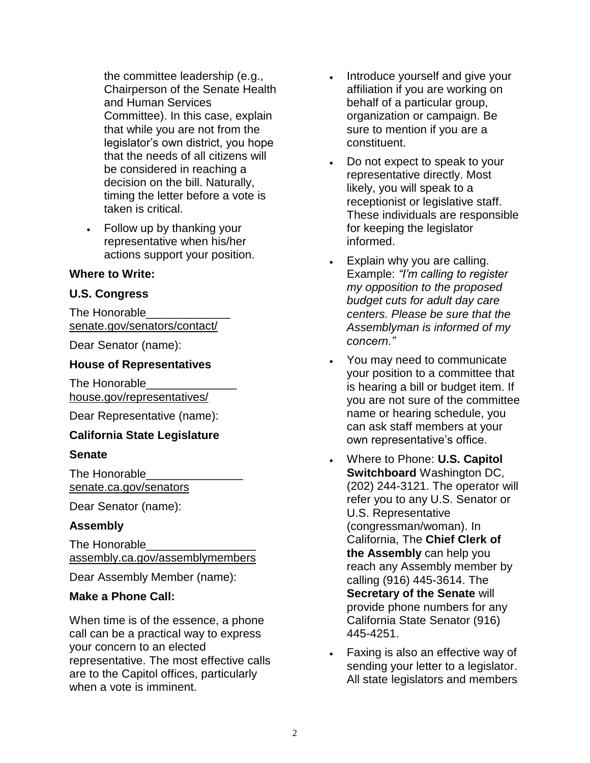the committee leadership (e.g., Chairperson of the Senate Health and Human Services Committee). In this case, explain that while you are not from the legislator's own district, you hope that the needs of all citizens will be considered in reaching a decision on the bill. Naturally, timing the letter before a vote is taken is critical.

• Follow up by thanking your representative when his/her actions support your position.

#### **Where to Write:**

#### **U.S. Congress**

The Honorable [senate.gov/senators/contact/](http://www.senate.gov/senators/contact/)

Dear Senator (name):

#### **House of Representatives**

The Honorable [house.gov/representatives/](http://www.house.gov/representatives/)

Dear Representative (name):

#### **California State Legislature**

#### **Senate**

The Honorable\_\_\_\_\_\_\_\_\_\_\_\_\_\_\_ [senate.ca.gov/senators](http://senate.ca.gov/senators)

Dear Senator (name):

#### **Assembly**

The Honorable\_\_\_\_\_\_\_\_\_\_\_\_\_\_\_\_\_ [assembly.ca.gov/assemblymembers](http://assembly.ca.gov/assemblymembers)

Dear Assembly Member (name):

#### **Make a Phone Call:**

When time is of the essence, a phone call can be a practical way to express your concern to an elected representative. The most effective calls are to the Capitol offices, particularly when a vote is imminent.

- Introduce yourself and give your affiliation if you are working on behalf of a particular group, organization or campaign. Be sure to mention if you are a constituent.
- Do not expect to speak to your representative directly. Most likely, you will speak to a receptionist or legislative staff. These individuals are responsible for keeping the legislator informed.
- Explain why you are calling. Example: *"I'm calling to register my opposition to the proposed budget cuts for adult day care centers. Please be sure that the Assemblyman is informed of my concern."*
- You may need to communicate your position to a committee that is hearing a bill or budget item. If you are not sure of the committee name or hearing schedule, you can ask staff members at your own representative's office.
- Where to Phone: **U.S. Capitol Switchboard** Washington DC, (202) 244-3121. The operator will refer you to any U.S. Senator or U.S. Representative (congressman/woman). In California, The **Chief Clerk of the Assembly** can help you reach any Assembly member by calling (916) 445-3614. The **Secretary of the Senate** will provide phone numbers for any California State Senator (916) 445-4251.
- Faxing is also an effective way of sending your letter to a legislator. All state legislators and members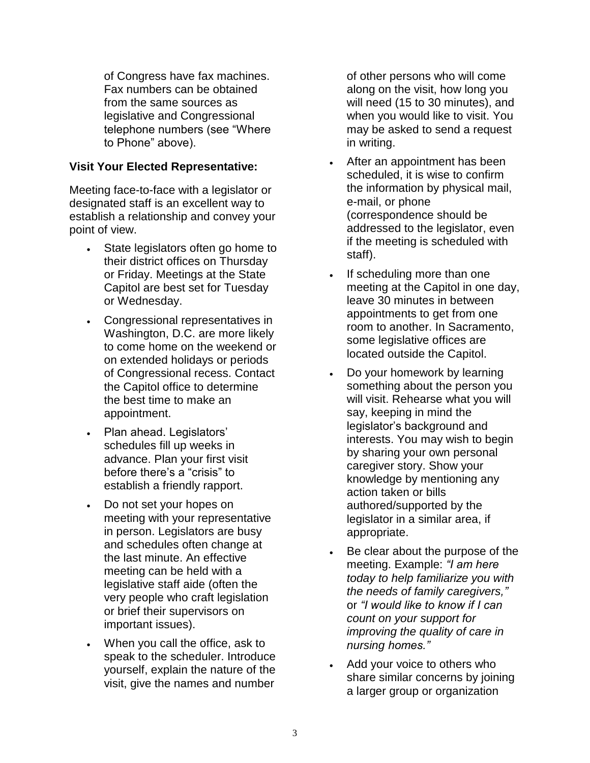of Congress have fax machines. Fax numbers can be obtained from the same sources as legislative and Congressional telephone numbers (see "Where to Phone" above).

#### **Visit Your Elected Representative:**

Meeting face-to-face with a legislator or designated staff is an excellent way to establish a relationship and convey your point of view.

- State legislators often go home to their district offices on Thursday or Friday. Meetings at the State Capitol are best set for Tuesday or Wednesday.
- Congressional representatives in Washington, D.C. are more likely to come home on the weekend or on extended holidays or periods of Congressional recess. Contact the Capitol office to determine the best time to make an appointment.
- Plan ahead. Legislators' schedules fill up weeks in advance. Plan your first visit before there's a "crisis" to establish a friendly rapport.
- Do not set your hopes on meeting with your representative in person. Legislators are busy and schedules often change at the last minute. An effective meeting can be held with a legislative staff aide (often the very people who craft legislation or brief their supervisors on important issues).
- When you call the office, ask to speak to the scheduler. Introduce yourself, explain the nature of the visit, give the names and number

of other persons who will come along on the visit, how long you will need (15 to 30 minutes), and when you would like to visit. You may be asked to send a request in writing.

- After an appointment has been scheduled, it is wise to confirm the information by physical mail, e-mail, or phone (correspondence should be addressed to the legislator, even if the meeting is scheduled with staff).
- If scheduling more than one meeting at the Capitol in one day, leave 30 minutes in between appointments to get from one room to another. In Sacramento, some legislative offices are located outside the Capitol.
- Do your homework by learning something about the person you will visit. Rehearse what you will say, keeping in mind the legislator's background and interests. You may wish to begin by sharing your own personal caregiver story. Show your knowledge by mentioning any action taken or bills authored/supported by the legislator in a similar area, if appropriate.
- Be clear about the purpose of the meeting. Example: *"I am here today to help familiarize you with the needs of family caregivers,"* or *"I would like to know if I can count on your support for improving the quality of care in nursing homes."*
- Add your voice to others who share similar concerns by joining a larger group or organization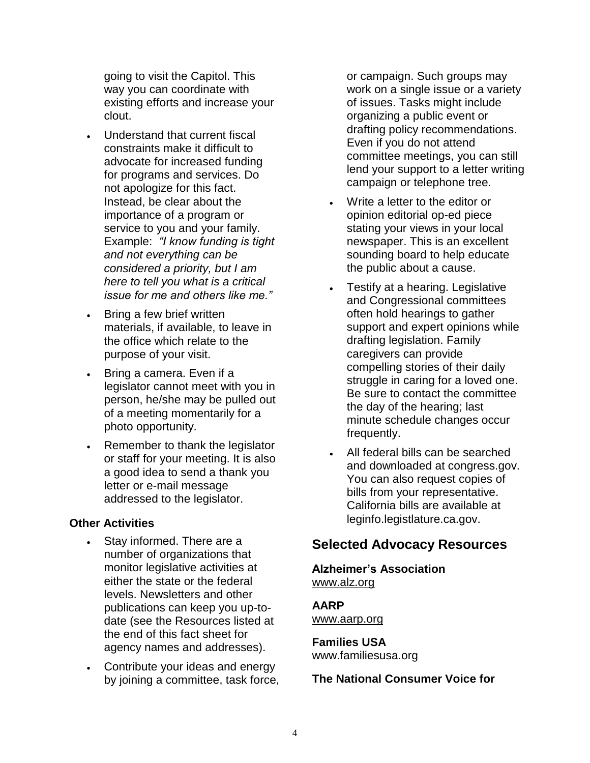going to visit the Capitol. This way you can coordinate with existing efforts and increase your clout.

- Understand that current fiscal constraints make it difficult to advocate for increased funding for programs and services. Do not apologize for this fact. Instead, be clear about the importance of a program or service to you and your family. Example: *"I know funding is tight and not everything can be considered a priority, but I am here to tell you what is a critical issue for me and others like me."*
- Bring a few brief written materials, if available, to leave in the office which relate to the purpose of your visit.
- Bring a camera. Even if a legislator cannot meet with you in person, he/she may be pulled out of a meeting momentarily for a photo opportunity.
- Remember to thank the legislator or staff for your meeting. It is also a good idea to send a thank you letter or e-mail message addressed to the legislator.

#### **Other Activities**

- Stay informed. There are a number of organizations that monitor legislative activities at either the state or the federal levels. Newsletters and other publications can keep you up-todate (see the Resources listed at the end of this fact sheet for agency names and addresses).
- Contribute your ideas and energy by joining a committee, task force,

or campaign. Such groups may work on a single issue or a variety of issues. Tasks might include organizing a public event or drafting policy recommendations. Even if you do not attend committee meetings, you can still lend your support to a letter writing campaign or telephone tree.

- Write a letter to the editor or opinion editorial op-ed piece stating your views in your local newspaper. This is an excellent sounding board to help educate the public about a cause.
- Testify at a hearing. Legislative and Congressional committees often hold hearings to gather support and expert opinions while drafting legislation. Family caregivers can provide compelling stories of their daily struggle in caring for a loved one. Be sure to contact the committee the day of the hearing; last minute schedule changes occur frequently.
- All federal bills can be searched and downloaded at congress.gov. You can also request copies of bills from your representative. California bills are available at leginfo.legistlature.ca.gov.

### **Selected Advocacy Resources**

**Alzheimer's Association**  [www.alz.org](http://www.alz.org/)

#### **AARP**

[www.aarp.org](http://www.aarp.org/)

#### **Families USA**  www.familiesusa.org

#### **The National Consumer Voice for**